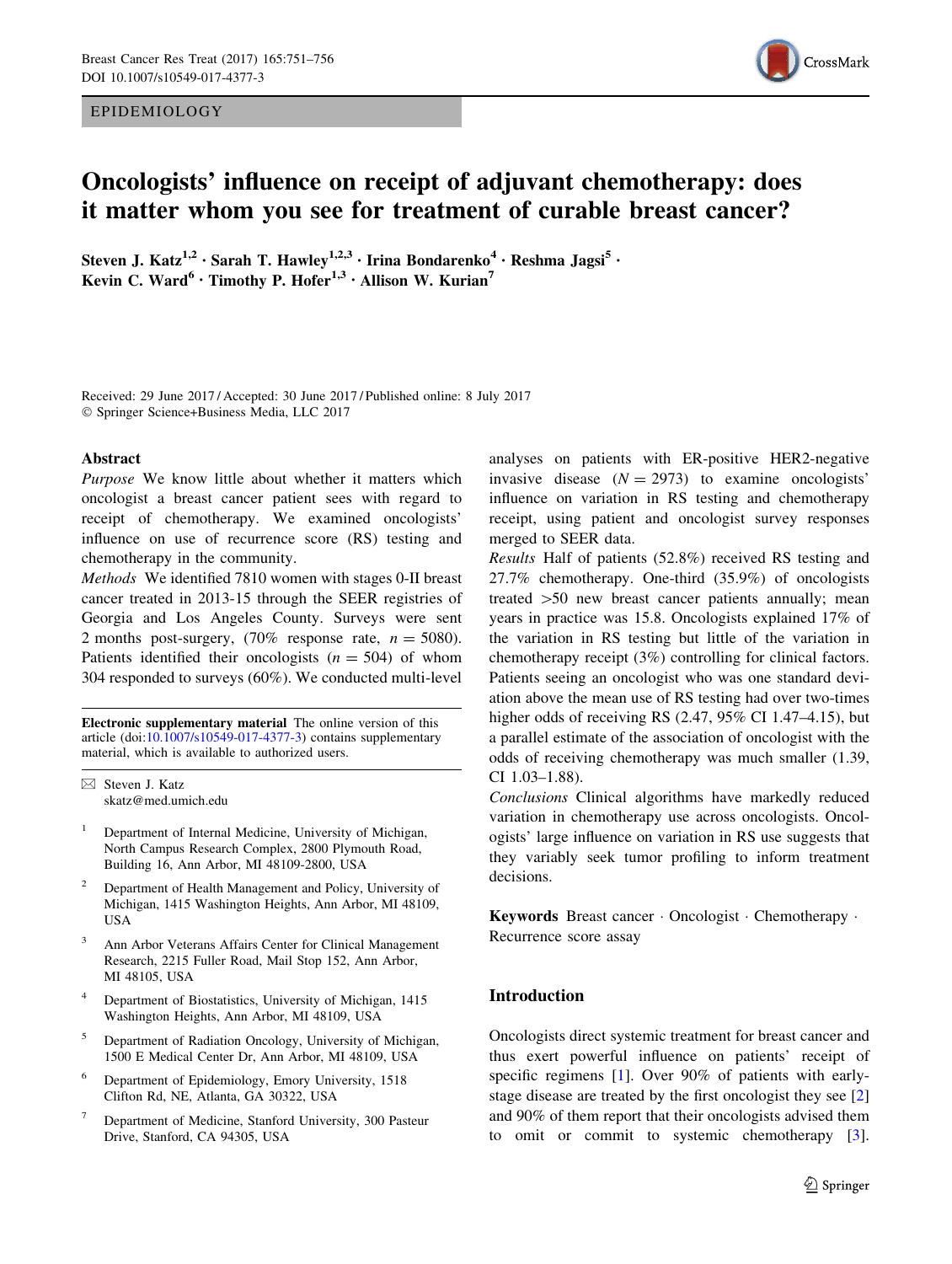EPIDEMIOLOGY



# Oncologists' influence on receipt of adjuvant chemotherapy: does it matter whom you see for treatment of curable breast cancer?

Steven J. Katz<sup>1,2</sup> · Sarah T. Hawley<sup>1,2,3</sup> · Irina Bondarenko<sup>4</sup> · Reshma Jagsi<sup>5</sup> · Kevin C. Ward<sup>6</sup> · Timothy P. Hofer<sup>1,3</sup> · Allison W. Kurian<sup>7</sup>

Received: 29 June 2017 / Accepted: 30 June 2017 / Published online: 8 July 2017 - Springer Science+Business Media, LLC 2017

## Abstract

Purpose We know little about whether it matters which oncologist a breast cancer patient sees with regard to receipt of chemotherapy. We examined oncologists' influence on use of recurrence score (RS) testing and chemotherapy in the community.

Methods We identified 7810 women with stages 0-II breast cancer treated in 2013-15 through the SEER registries of Georgia and Los Angeles County. Surveys were sent 2 months post-surgery,  $(70\%$  response rate,  $n = 5080$ ). Patients identified their oncologists  $(n = 504)$  of whom 304 responded to surveys (60%). We conducted multi-level

Electronic supplementary material The online version of this article (doi: $10.1007$ /s $10549-017-4377-3$ ) contains supplementary material, which is available to authorized users.

 $\boxtimes$  Steven J. Katz skatz@med.umich.edu

- <sup>1</sup> Department of Internal Medicine, University of Michigan, North Campus Research Complex, 2800 Plymouth Road, Building 16, Ann Arbor, MI 48109-2800, USA
- <sup>2</sup> Department of Health Management and Policy, University of Michigan, 1415 Washington Heights, Ann Arbor, MI 48109, USA
- <sup>3</sup> Ann Arbor Veterans Affairs Center for Clinical Management Research, 2215 Fuller Road, Mail Stop 152, Ann Arbor, MI 48105, USA
- <sup>4</sup> Department of Biostatistics, University of Michigan, 1415 Washington Heights, Ann Arbor, MI 48109, USA
- <sup>5</sup> Department of Radiation Oncology, University of Michigan, 1500 E Medical Center Dr, Ann Arbor, MI 48109, USA
- <sup>6</sup> Department of Epidemiology, Emory University, 1518 Clifton Rd, NE, Atlanta, GA 30322, USA
- <sup>7</sup> Department of Medicine, Stanford University, 300 Pasteur Drive, Stanford, CA 94305, USA

analyses on patients with ER-positive HER2-negative invasive disease  $(N = 2973)$  to examine oncologists' influence on variation in RS testing and chemotherapy receipt, using patient and oncologist survey responses merged to SEER data.

Results Half of patients (52.8%) received RS testing and 27.7% chemotherapy. One-third (35.9%) of oncologists treated  $>50$  new breast cancer patients annually; mean years in practice was 15.8. Oncologists explained 17% of the variation in RS testing but little of the variation in chemotherapy receipt (3%) controlling for clinical factors. Patients seeing an oncologist who was one standard deviation above the mean use of RS testing had over two-times higher odds of receiving RS (2.47, 95% CI 1.47–4.15), but a parallel estimate of the association of oncologist with the odds of receiving chemotherapy was much smaller (1.39, CI 1.03–1.88).

Conclusions Clinical algorithms have markedly reduced variation in chemotherapy use across oncologists. Oncologists' large influence on variation in RS use suggests that they variably seek tumor profiling to inform treatment decisions.

Keywords Breast cancer - Oncologist - Chemotherapy - Recurrence score assay

# Introduction

Oncologists direct systemic treatment for breast cancer and thus exert powerful influence on patients' receipt of specific regimens [\[1](#page-4-0)]. Over 90% of patients with earlystage disease are treated by the first oncologist they see [[2\]](#page-4-0) and 90% of them report that their oncologists advised them to omit or commit to systemic chemotherapy [\[3](#page-4-0)].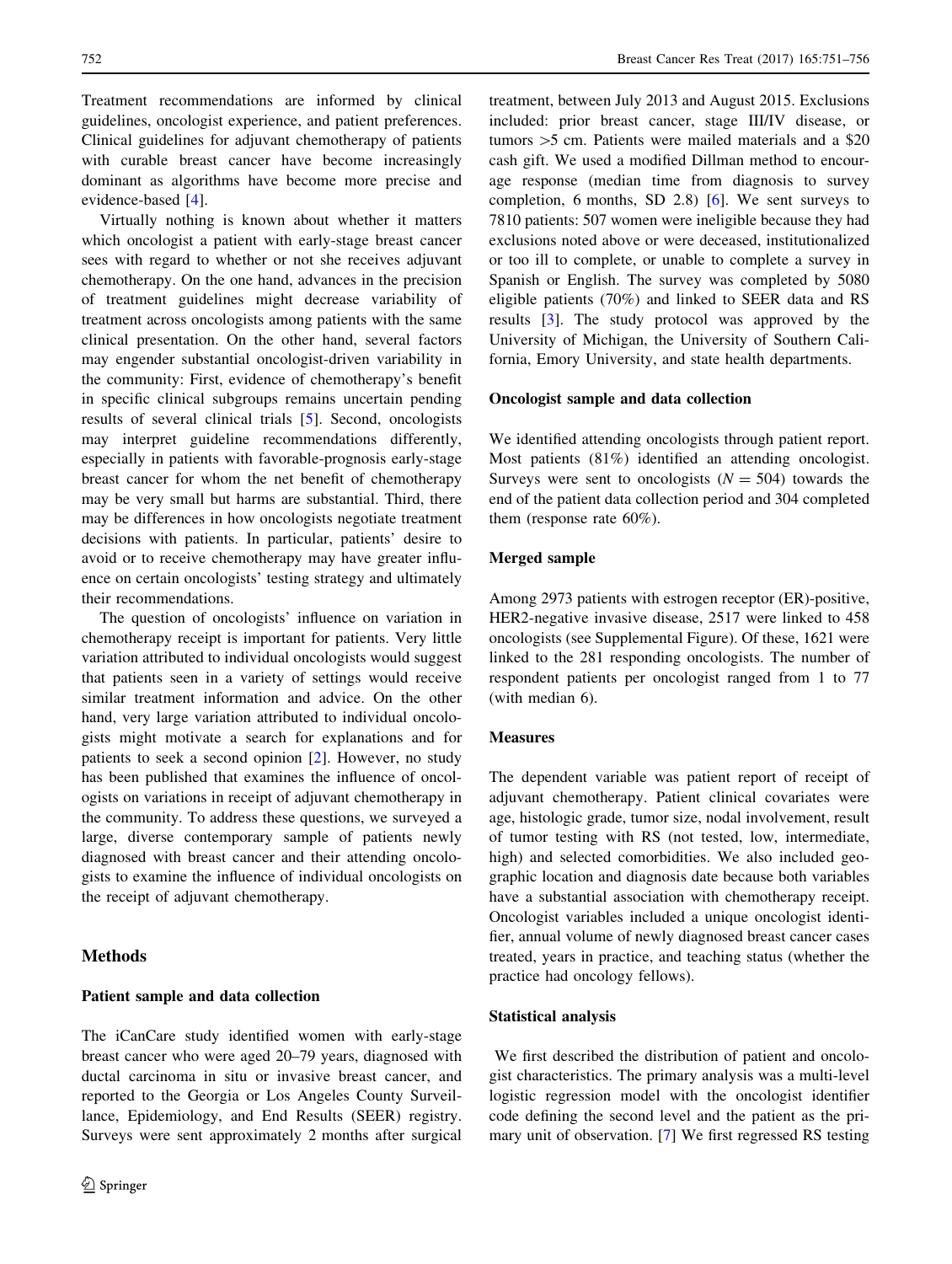Treatment recommendations are informed by clinical guidelines, oncologist experience, and patient preferences. Clinical guidelines for adjuvant chemotherapy of patients with curable breast cancer have become increasingly dominant as algorithms have become more precise and evidence-based [\[4](#page-5-0)].

Virtually nothing is known about whether it matters which oncologist a patient with early-stage breast cancer sees with regard to whether or not she receives adjuvant chemotherapy. On the one hand, advances in the precision of treatment guidelines might decrease variability of treatment across oncologists among patients with the same clinical presentation. On the other hand, several factors may engender substantial oncologist-driven variability in the community: First, evidence of chemotherapy's benefit in specific clinical subgroups remains uncertain pending results of several clinical trials [\[5](#page-5-0)]. Second, oncologists may interpret guideline recommendations differently, especially in patients with favorable-prognosis early-stage breast cancer for whom the net benefit of chemotherapy may be very small but harms are substantial. Third, there may be differences in how oncologists negotiate treatment decisions with patients. In particular, patients' desire to avoid or to receive chemotherapy may have greater influence on certain oncologists' testing strategy and ultimately their recommendations.

The question of oncologists' influence on variation in chemotherapy receipt is important for patients. Very little variation attributed to individual oncologists would suggest that patients seen in a variety of settings would receive similar treatment information and advice. On the other hand, very large variation attributed to individual oncologists might motivate a search for explanations and for patients to seek a second opinion [\[2](#page-4-0)]. However, no study has been published that examines the influence of oncologists on variations in receipt of adjuvant chemotherapy in the community. To address these questions, we surveyed a large, diverse contemporary sample of patients newly diagnosed with breast cancer and their attending oncologists to examine the influence of individual oncologists on the receipt of adjuvant chemotherapy.

## Methods

# Patient sample and data collection

The iCanCare study identified women with early-stage breast cancer who were aged 20–79 years, diagnosed with ductal carcinoma in situ or invasive breast cancer, and reported to the Georgia or Los Angeles County Surveillance, Epidemiology, and End Results (SEER) registry. Surveys were sent approximately 2 months after surgical

treatment, between July 2013 and August 2015. Exclusions included: prior breast cancer, stage III/IV disease, or tumors  $>5$  cm. Patients were mailed materials and a \$20 cash gift. We used a modified Dillman method to encourage response (median time from diagnosis to survey completion, 6 months, SD 2.8) [\[6](#page-5-0)]. We sent surveys to 7810 patients: 507 women were ineligible because they had exclusions noted above or were deceased, institutionalized or too ill to complete, or unable to complete a survey in Spanish or English. The survey was completed by 5080 eligible patients (70%) and linked to SEER data and RS results [\[3](#page-4-0)]. The study protocol was approved by the University of Michigan, the University of Southern California, Emory University, and state health departments.

## Oncologist sample and data collection

We identified attending oncologists through patient report. Most patients (81%) identified an attending oncologist. Surveys were sent to oncologists  $(N = 504)$  towards the end of the patient data collection period and 304 completed them (response rate 60%).

## Merged sample

Among 2973 patients with estrogen receptor (ER)-positive, HER2-negative invasive disease, 2517 were linked to 458 oncologists (see Supplemental Figure). Of these, 1621 were linked to the 281 responding oncologists. The number of respondent patients per oncologist ranged from 1 to 77 (with median 6).

#### Measures

The dependent variable was patient report of receipt of adjuvant chemotherapy. Patient clinical covariates were age, histologic grade, tumor size, nodal involvement, result of tumor testing with RS (not tested, low, intermediate, high) and selected comorbidities. We also included geographic location and diagnosis date because both variables have a substantial association with chemotherapy receipt. Oncologist variables included a unique oncologist identifier, annual volume of newly diagnosed breast cancer cases treated, years in practice, and teaching status (whether the practice had oncology fellows).

#### Statistical analysis

We first described the distribution of patient and oncologist characteristics. The primary analysis was a multi-level logistic regression model with the oncologist identifier code defining the second level and the patient as the primary unit of observation. [\[7](#page-5-0)] We first regressed RS testing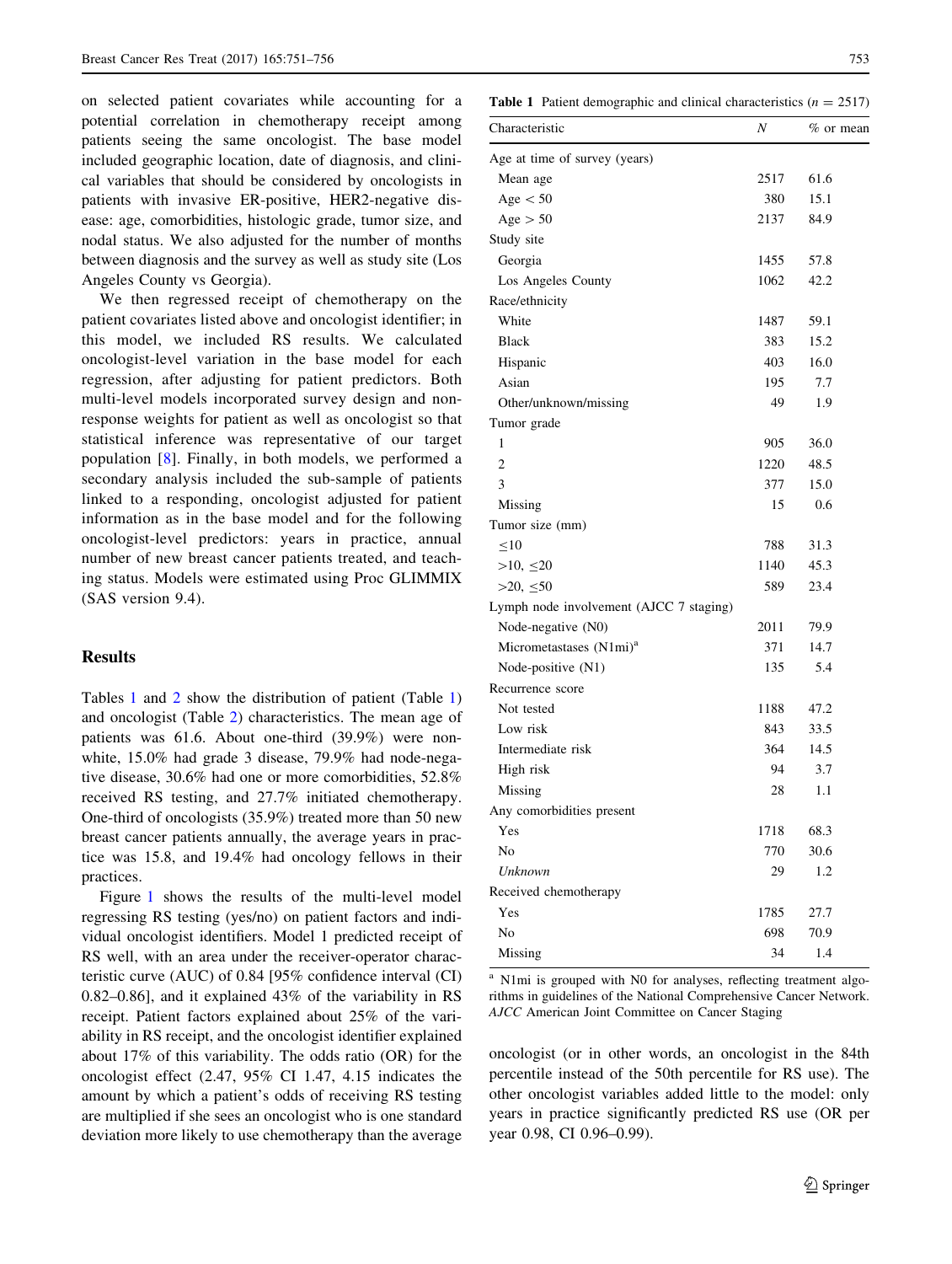on selected patient covariates while accounting for a potential correlation in chemotherapy receipt among patients seeing the same oncologist. The base model included geographic location, date of diagnosis, and clinical variables that should be considered by oncologists in patients with invasive ER-positive, HER2-negative disease: age, comorbidities, histologic grade, tumor size, and nodal status. We also adjusted for the number of months between diagnosis and the survey as well as study site (Los Angeles County vs Georgia).

We then regressed receipt of chemotherapy on the patient covariates listed above and oncologist identifier; in this model, we included RS results. We calculated oncologist-level variation in the base model for each regression, after adjusting for patient predictors. Both multi-level models incorporated survey design and nonresponse weights for patient as well as oncologist so that statistical inference was representative of our target population [[8](#page-5-0)]. Finally, in both models, we performed a secondary analysis included the sub-sample of patients linked to a responding, oncologist adjusted for patient information as in the base model and for the following oncologist-level predictors: years in practice, annual number of new breast cancer patients treated, and teaching status. Models were estimated using Proc GLIMMIX (SAS version 9.4).

## Results

Tables 1 and [2](#page-3-0) show the distribution of patient (Table 1) and oncologist (Table [2\)](#page-3-0) characteristics. The mean age of patients was 61.6. About one-third (39.9%) were nonwhite, 15.0% had grade 3 disease, 79.9% had node-negative disease, 30.6% had one or more comorbidities, 52.8% received RS testing, and 27.7% initiated chemotherapy. One-third of oncologists (35.9%) treated more than 50 new breast cancer patients annually, the average years in practice was 15.8, and 19.4% had oncology fellows in their practices.

Figure [1](#page-3-0) shows the results of the multi-level model regressing RS testing (yes/no) on patient factors and individual oncologist identifiers. Model 1 predicted receipt of RS well, with an area under the receiver-operator characteristic curve (AUC) of 0.84 [95% confidence interval (CI) 0.82–0.86], and it explained 43% of the variability in RS receipt. Patient factors explained about 25% of the variability in RS receipt, and the oncologist identifier explained about 17% of this variability. The odds ratio (OR) for the oncologist effect (2.47, 95% CI 1.47, 4.15 indicates the amount by which a patient's odds of receiving RS testing are multiplied if she sees an oncologist who is one standard deviation more likely to use chemotherapy than the average

**Table 1** Patient demographic and clinical characteristics  $(n = 2517)$ 

| Characteristic                          | Ν    | $%$ or mean |
|-----------------------------------------|------|-------------|
| Age at time of survey (years)           |      |             |
| Mean age                                | 2517 | 61.6        |
| Age $<$ 50                              | 380  | 15.1        |
| Age > 50                                | 2137 | 84.9        |
| Study site                              |      |             |
| Georgia                                 | 1455 | 57.8        |
| Los Angeles County                      | 1062 | 42.2        |
| Race/ethnicity                          |      |             |
| White                                   | 1487 | 59.1        |
| <b>Black</b>                            | 383  | 15.2        |
| Hispanic                                | 403  | 16.0        |
| Asian                                   | 195  | 7.7         |
| Other/unknown/missing                   | 49   | 1.9         |
| Tumor grade                             |      |             |
| 1                                       | 905  | 36.0        |
| $\overline{2}$                          | 1220 | 48.5        |
| 3                                       | 377  | 15.0        |
| Missing                                 | 15   | 0.6         |
| Tumor size (mm)                         |      |             |
| <10                                     | 788  | 31.3        |
| $>10, \leq 20$                          | 1140 | 45.3        |
| $>20, \leq 50$                          | 589  | 23.4        |
| Lymph node involvement (AJCC 7 staging) |      |             |
| Node-negative (N0)                      | 2011 | 79.9        |
| Micrometastases (N1mi) <sup>a</sup>     | 371  | 14.7        |
| Node-positive (N1)                      | 135  | 5.4         |
| Recurrence score                        |      |             |
| Not tested                              | 1188 | 47.2        |
| Low risk                                | 843  | 33.5        |
| Intermediate risk                       | 364  | 14.5        |
| High risk                               | 94   | 3.7         |
| Missing                                 | 28   | 1.1         |
| Any comorbidities present               |      |             |
| Yes                                     | 1718 | 68.3        |
| No                                      | 770  | 30.6        |
| Unknown                                 | 29   | 1.2         |
| Received chemotherapy                   |      |             |
| Yes                                     | 1785 | 27.7        |
| N <sub>o</sub>                          | 698  | 70.9        |
| Missing                                 | 34   | 1.4         |

<sup>a</sup> N1mi is grouped with N0 for analyses, reflecting treatment algorithms in guidelines of the National Comprehensive Cancer Network. AJCC American Joint Committee on Cancer Staging

oncologist (or in other words, an oncologist in the 84th percentile instead of the 50th percentile for RS use). The other oncologist variables added little to the model: only years in practice significantly predicted RS use (OR per year 0.98, CI 0.96–0.99).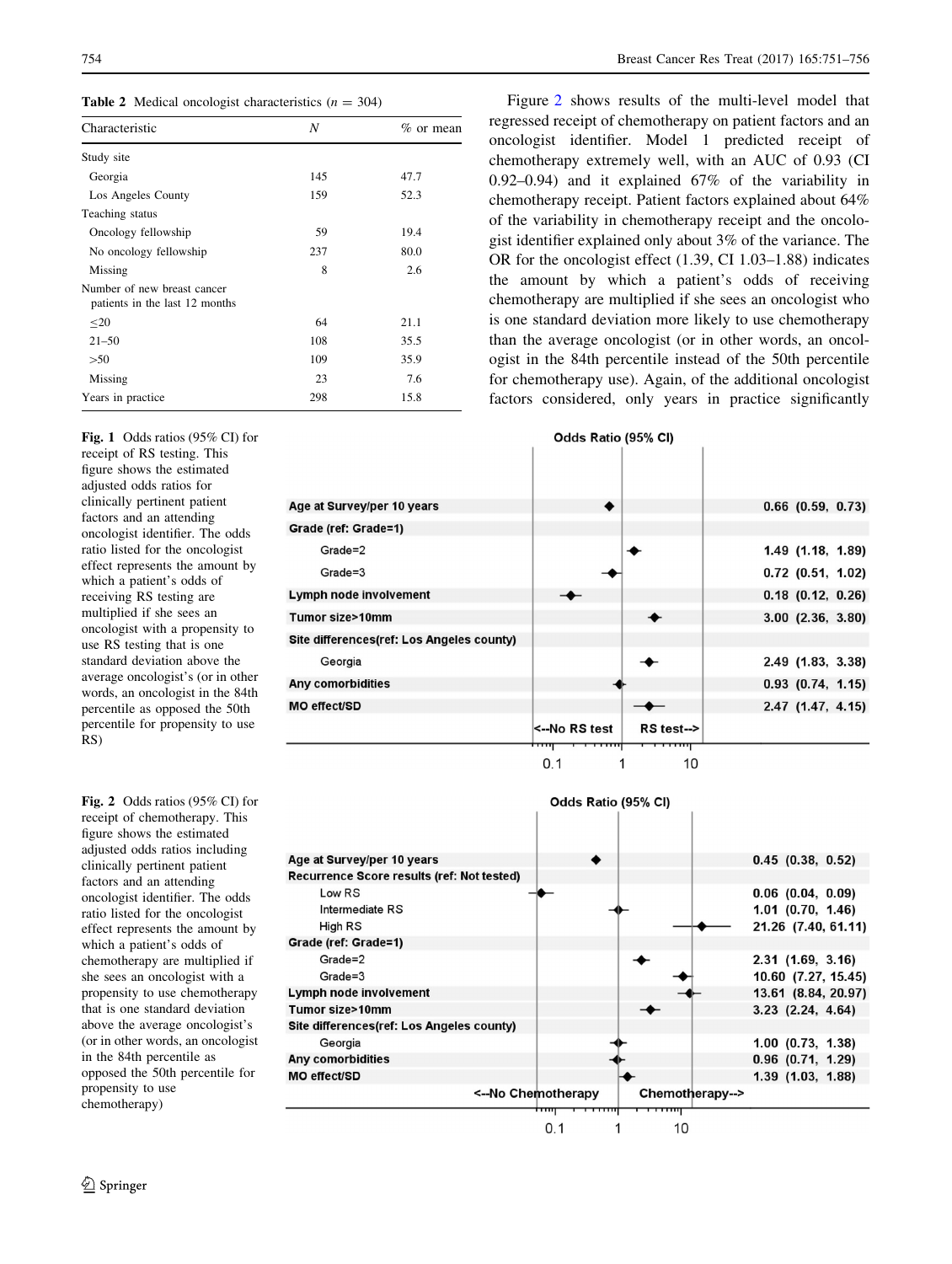<span id="page-3-0"></span>**Table 2** Medical oncologist characteristics  $(n = 304)$ 

| Characteristic                                                | N   | $\%$ or mean |  |  |
|---------------------------------------------------------------|-----|--------------|--|--|
| Study site                                                    |     |              |  |  |
| Georgia                                                       | 145 | 47.7         |  |  |
| Los Angeles County                                            | 159 | 52.3         |  |  |
| Teaching status                                               |     |              |  |  |
| Oncology fellowship                                           | 59  | 19.4         |  |  |
| No oncology fellowship                                        | 237 | 80.0         |  |  |
| Missing                                                       | 8   | 2.6          |  |  |
| Number of new breast cancer<br>patients in the last 12 months |     |              |  |  |
| $\leq 20$                                                     | 64  | 21.1         |  |  |
| $21 - 50$                                                     | 108 | 35.5         |  |  |
| >50                                                           | 109 | 35.9         |  |  |
| Missing                                                       | 23  | 7.6          |  |  |
| Years in practice                                             | 298 | 15.8         |  |  |

Fig. 1 Odds ratios (95% CI) for receipt of RS testing. This figure shows the estimated adjusted odds ratios for clinically pertinent patient factors and an attending oncologist identifier. The odds ratio listed for the oncologist effect represents the amount by which a patient's odds of receiving RS testing are multiplied if she sees an oncologist with a propensity to use RS testing that is one standard deviation above the average oncologist's (or in other words, an oncologist in the 84th percentile as opposed the 50th percentile for propensity to use RS)

Fig. 2 Odds ratios (95% CI) for receipt of chemotherapy. This figure shows the estimated adjusted odds ratios including clinically pertinent patient factors and an attending oncologist identifier. The odds ratio listed for the oncologist effect represents the amount by which a patient's odds of chemotherapy are multiplied if she sees an oncologist with a propensity to use chemotherapy that is one standard deviation above the average oncologist's (or in other words, an oncologist in the 84th percentile as opposed the 50th percentile for propensity to use chemotherapy)

Figure 2 shows results of the multi-level model that regressed receipt of chemotherapy on patient factors and an oncologist identifier. Model 1 predicted receipt of chemotherapy extremely well, with an AUC of 0.93 (CI 0.92–0.94) and it explained 67% of the variability in chemotherapy receipt. Patient factors explained about 64% of the variability in chemotherapy receipt and the oncologist identifier explained only about 3% of the variance. The OR for the oncologist effect (1.39, CI 1.03–1.88) indicates the amount by which a patient's odds of receiving chemotherapy are multiplied if she sees an oncologist who is one standard deviation more likely to use chemotherapy than the average oncologist (or in other words, an oncologist in the 84th percentile instead of the 50th percentile for chemotherapy use). Again, of the additional oncologist factors considered, only years in practice significantly

Odds Ratio (95% CI)

| Age at Survey/per 10 years                |                          |                   | $0.66$ $(0.59, 0.73)$ |
|-------------------------------------------|--------------------------|-------------------|-----------------------|
| Grade (ref: Grade=1)                      |                          |                   |                       |
| Grade=2                                   |                          |                   | 1.49 (1.18, 1.89)     |
| Grade=3                                   |                          |                   | $0.72$ (0.51, 1.02)   |
| Lymph node involvement                    |                          |                   | $0.18$ $(0.12, 0.26)$ |
| Tumor size>10mm                           |                          |                   | $3.00$ $(2.36, 3.80)$ |
| Site differences(ref: Los Angeles county) |                          |                   |                       |
| Georgia                                   |                          |                   | 2.49 (1.83, 3.38)     |
| Any comorbidities                         |                          |                   | $0.93$ $(0.74, 1.15)$ |
| MO effect/SD                              |                          |                   | $2.47$ (1.47, 4.15)   |
|                                           | l<--No RS test           | $RS$ test- $\geq$ |                       |
|                                           | ┯┯<br><del>,,,,,,,</del> | <del>,,,,,,</del> |                       |
|                                           | 0.1                      | 10                |                       |

|                                            | Odds Ratio (95% CI)        |                 |                       |
|--------------------------------------------|----------------------------|-----------------|-----------------------|
|                                            |                            |                 |                       |
| Age at Survey/per 10 years                 |                            |                 | $0.45$ (0.38, 0.52)   |
| Recurrence Score results (ref: Not tested) |                            |                 |                       |
| Low RS                                     |                            |                 | $0.06$ $(0.04, 0.09)$ |
| Intermediate RS                            |                            |                 | $1.01$ (0.70, 1.46)   |
| High RS                                    |                            |                 | 21.26 (7.40, 61.11)   |
| Grade (ref: Grade=1)                       |                            |                 |                       |
| Grade=2                                    |                            |                 | $2.31$ (1.69, 3.16)   |
| Grade=3                                    |                            |                 | 10.60 (7.27, 15.45)   |
| Lymph node involvement                     |                            |                 | 13.61 (8.84, 20.97)   |
| Tumor size>10mm                            |                            |                 | $3.23$ $(2.24, 4.64)$ |
| Site differences(ref: Los Angeles county)  |                            |                 |                       |
| Georgia                                    |                            |                 | $1.00$ $(0.73, 1.38)$ |
| Any comorbidities                          |                            |                 | $0.96$ $(0.71, 1.29)$ |
| <b>MO effect/SD</b>                        |                            |                 | $1.39$ $(1.03, 1.88)$ |
|                                            | <--No Chemotherapy         | Chemotherapy--> |                       |
|                                            | <del>,,,,,,,,</del><br>┯┯┯ |                 |                       |
|                                            | 0.1                        | 10              |                       |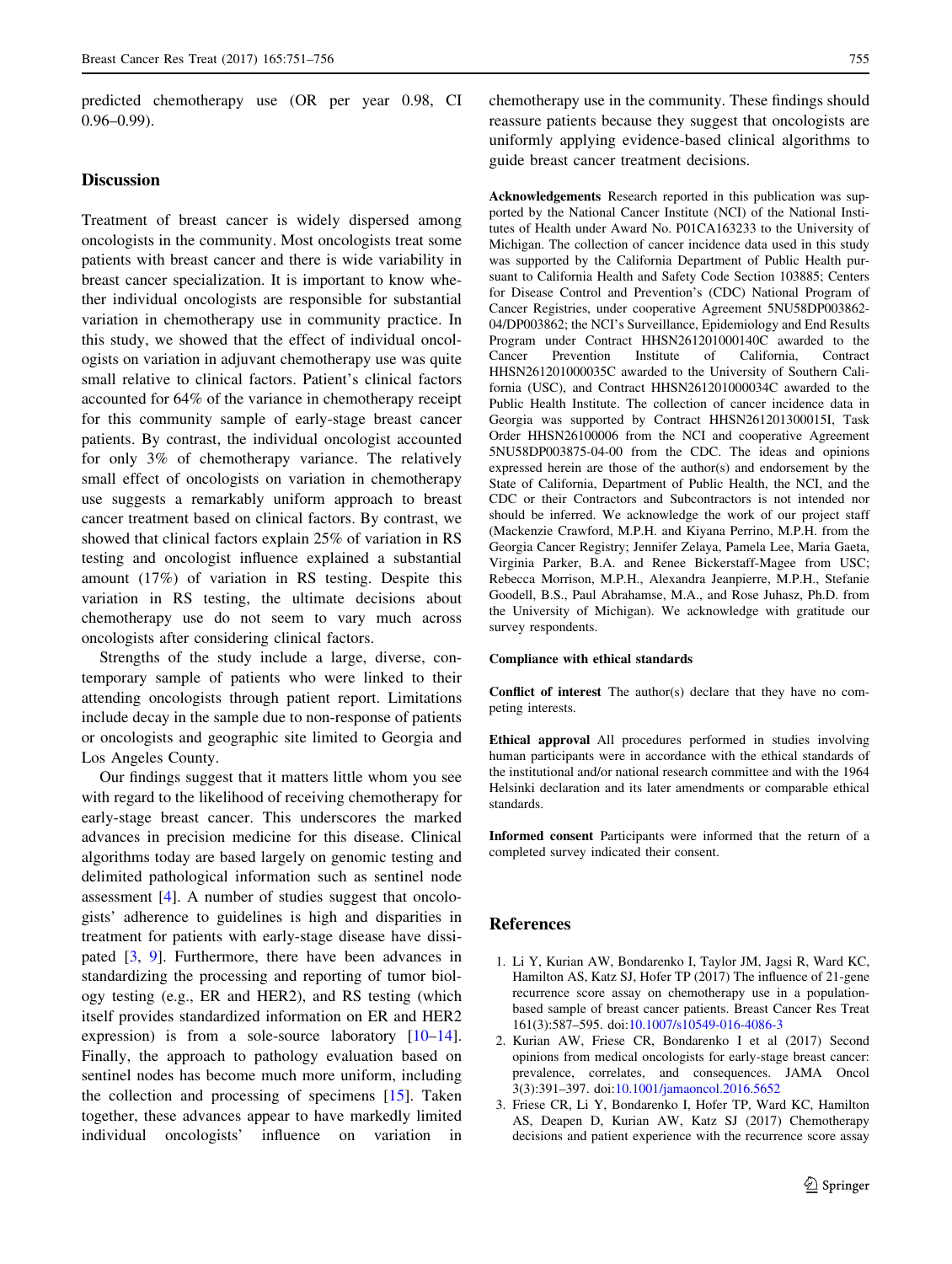<span id="page-4-0"></span>predicted chemotherapy use (OR per year 0.98, CI 0.96–0.99).

## **Discussion**

Treatment of breast cancer is widely dispersed among oncologists in the community. Most oncologists treat some patients with breast cancer and there is wide variability in breast cancer specialization. It is important to know whether individual oncologists are responsible for substantial variation in chemotherapy use in community practice. In this study, we showed that the effect of individual oncologists on variation in adjuvant chemotherapy use was quite small relative to clinical factors. Patient's clinical factors accounted for 64% of the variance in chemotherapy receipt for this community sample of early-stage breast cancer patients. By contrast, the individual oncologist accounted for only 3% of chemotherapy variance. The relatively small effect of oncologists on variation in chemotherapy use suggests a remarkably uniform approach to breast cancer treatment based on clinical factors. By contrast, we showed that clinical factors explain 25% of variation in RS testing and oncologist influence explained a substantial amount (17%) of variation in RS testing. Despite this variation in RS testing, the ultimate decisions about chemotherapy use do not seem to vary much across oncologists after considering clinical factors.

Strengths of the study include a large, diverse, contemporary sample of patients who were linked to their attending oncologists through patient report. Limitations include decay in the sample due to non-response of patients or oncologists and geographic site limited to Georgia and Los Angeles County.

Our findings suggest that it matters little whom you see with regard to the likelihood of receiving chemotherapy for early-stage breast cancer. This underscores the marked advances in precision medicine for this disease. Clinical algorithms today are based largely on genomic testing and delimited pathological information such as sentinel node assessment [[4](#page-5-0)]. A number of studies suggest that oncologists' adherence to guidelines is high and disparities in treatment for patients with early-stage disease have dissipated [3, [9\]](#page-5-0). Furthermore, there have been advances in standardizing the processing and reporting of tumor biology testing (e.g., ER and HER2), and RS testing (which itself provides standardized information on ER and HER2 expression) is from a sole-source laboratory [\[10–14](#page-5-0)]. Finally, the approach to pathology evaluation based on sentinel nodes has become much more uniform, including the collection and processing of specimens [\[15](#page-5-0)]. Taken together, these advances appear to have markedly limited individual oncologists' influence on variation in

chemotherapy use in the community. These findings should reassure patients because they suggest that oncologists are uniformly applying evidence-based clinical algorithms to guide breast cancer treatment decisions.

Acknowledgements Research reported in this publication was supported by the National Cancer Institute (NCI) of the National Institutes of Health under Award No. P01CA163233 to the University of Michigan. The collection of cancer incidence data used in this study was supported by the California Department of Public Health pursuant to California Health and Safety Code Section 103885; Centers for Disease Control and Prevention's (CDC) National Program of Cancer Registries, under cooperative Agreement 5NU58DP003862- 04/DP003862; the NCI's Surveillance, Epidemiology and End Results Program under Contract HHSN261201000140C awarded to the Cancer Prevention Institute of California, Contract HHSN261201000035C awarded to the University of Southern California (USC), and Contract HHSN261201000034C awarded to the Public Health Institute. The collection of cancer incidence data in Georgia was supported by Contract HHSN261201300015I, Task Order HHSN26100006 from the NCI and cooperative Agreement 5NU58DP003875-04-00 from the CDC. The ideas and opinions expressed herein are those of the author(s) and endorsement by the State of California, Department of Public Health, the NCI, and the CDC or their Contractors and Subcontractors is not intended nor should be inferred. We acknowledge the work of our project staff (Mackenzie Crawford, M.P.H. and Kiyana Perrino, M.P.H. from the Georgia Cancer Registry; Jennifer Zelaya, Pamela Lee, Maria Gaeta, Virginia Parker, B.A. and Renee Bickerstaff-Magee from USC; Rebecca Morrison, M.P.H., Alexandra Jeanpierre, M.P.H., Stefanie Goodell, B.S., Paul Abrahamse, M.A., and Rose Juhasz, Ph.D. from the University of Michigan). We acknowledge with gratitude our survey respondents.

#### Compliance with ethical standards

Conflict of interest The author(s) declare that they have no competing interests.

Ethical approval All procedures performed in studies involving human participants were in accordance with the ethical standards of the institutional and/or national research committee and with the 1964 Helsinki declaration and its later amendments or comparable ethical standards.

Informed consent Participants were informed that the return of a completed survey indicated their consent.

# References

- 1. Li Y, Kurian AW, Bondarenko I, Taylor JM, Jagsi R, Ward KC, Hamilton AS, Katz SJ, Hofer TP (2017) The influence of 21-gene recurrence score assay on chemotherapy use in a populationbased sample of breast cancer patients. Breast Cancer Res Treat 161(3):587–595. doi:[10.1007/s10549-016-4086-3](http://dx.doi.org/10.1007/s10549-016-4086-3)
- 2. Kurian AW, Friese CR, Bondarenko I et al (2017) Second opinions from medical oncologists for early-stage breast cancer: prevalence, correlates, and consequences. JAMA Oncol 3(3):391–397. doi[:10.1001/jamaoncol.2016.5652](http://dx.doi.org/10.1001/jamaoncol.2016.5652)
- 3. Friese CR, Li Y, Bondarenko I, Hofer TP, Ward KC, Hamilton AS, Deapen D, Kurian AW, Katz SJ (2017) Chemotherapy decisions and patient experience with the recurrence score assay